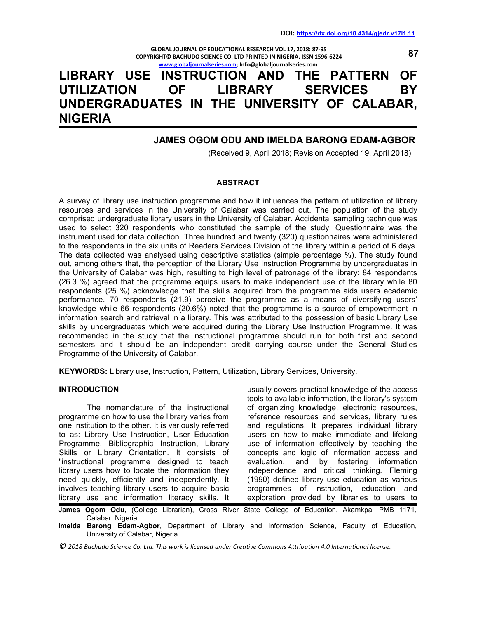**GLOBAL JOURNAL OF EDUCATIONAL RESEARCH VOL 17, 2018: 87-95 COPYRIGHT© BACHUDO SCIENCE CO. LTD PRINTED IN NIGERIA. ISSN 1596-6224 www.globaljournalseries.com; Info@globaljournalseries.com**

# **LIBRARY USE INSTRUCTION AND THE PATTERN OF UTILIZATION OF LIBRARY SERVICES BY UNDERGRADUATES IN THE UNIVERSITY OF CALABAR, NIGERIA**

# **JAMES OGOM ODU AND IMELDA BARONG EDAM-AGBOR**

(Received 9, April 2018; Revision Accepted 19, April 2018)

#### **ABSTRACT**

A survey of library use instruction programme and how it influences the pattern of utilization of library resources and services in the University of Calabar was carried out. The population of the study comprised undergraduate library users in the University of Calabar. Accidental sampling technique was used to select 320 respondents who constituted the sample of the study. Questionnaire was the instrument used for data collection. Three hundred and twenty (320) questionnaires were administered to the respondents in the six units of Readers Services Division of the library within a period of 6 days. The data collected was analysed using descriptive statistics (simple percentage %). The study found out, among others that, the perception of the Library Use Instruction Programme by undergraduates in the University of Calabar was high, resulting to high level of patronage of the library: 84 respondents (26.3 %) agreed that the programme equips users to make independent use of the library while 80 respondents (25 %) acknowledge that the skills acquired from the programme aids users academic performance. 70 respondents (21.9) perceive the programme as a means of diversifying users' knowledge while 66 respondents (20.6%) noted that the programme is a source of empowerment in information search and retrieval in a library. This was attributed to the possession of basic Library Use skills by undergraduates which were acquired during the Library Use Instruction Programme. It was recommended in the study that the instructional programme should run for both first and second semesters and it should be an independent credit carrying course under the General Studies Programme of the University of Calabar.

**KEYWORDS:** Library use, Instruction, Pattern, Utilization, Library Services, University.

#### **INTRODUCTION**

 The nomenclature of the instructional programme on how to use the library varies from one institution to the other. It is variously referred to as: Library Use Instruction, User Education Programme, Bibliographic Instruction, Library Skills or Library Orientation. It consists of "instructional programme designed to teach library users how to locate the information they need quickly, efficiently and independently. It involves teaching library users to acquire basic library use and information literacy skills. It

usually covers practical knowledge of the access tools to available information, the library's system of organizing knowledge, electronic resources, reference resources and services, library rules and regulations. It prepares individual library users on how to make immediate and lifelong use of information effectively by teaching the concepts and logic of information access and evaluation, and by fostering information independence and critical thinking. Fleming (1990) defined library use education as various programmes of instruction, education and exploration provided by libraries to users to

**James Ogom Odu,** (College Librarian), Cross River State College of Education, Akamkpa, PMB 1171, Calabar, Nigeria.

**Imelda Barong Edam-Agbor**, Department of Library and Information Science, Faculty of Education, University of Calabar, Nigeria.

*© 2018 Bachudo Science Co. Ltd. This work is licensed under Creative Commons Attribution 4.0 International license.*

**87**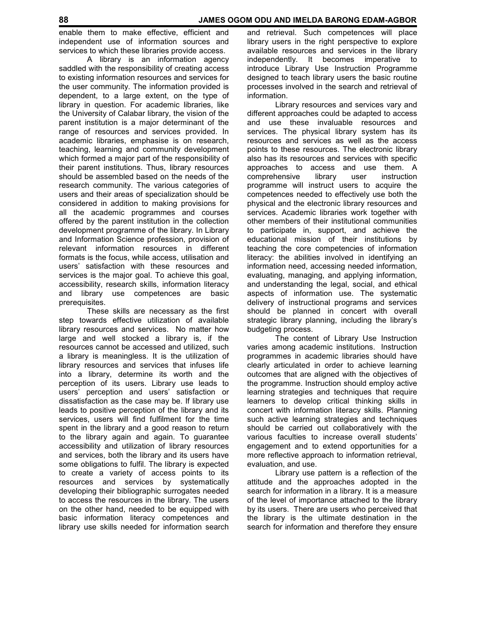enable them to make effective, efficient and independent use of information sources and services to which these libraries provide access.

 A library is an information agency saddled with the responsibility of creating access to existing information resources and services for the user community. The information provided is dependent, to a large extent, on the type of library in question. For academic libraries, like the University of Calabar library, the vision of the parent institution is a major determinant of the range of resources and services provided. In academic libraries, emphasise is on research, teaching, learning and community development which formed a major part of the responsibility of their parent institutions. Thus, library resources should be assembled based on the needs of the research community. The various categories of users and their areas of specialization should be considered in addition to making provisions for all the academic programmes and courses offered by the parent institution in the collection development programme of the library. In Library and Information Science profession, provision of relevant information resources in different formats is the focus, while access, utilisation and users' satisfaction with these resources and services is the major goal. To achieve this goal, accessibility, research skills, information literacy and library use competences are basic prerequisites.

 These skills are necessary as the first step towards effective utilization of available library resources and services. No matter how large and well stocked a library is, if the resources cannot be accessed and utilized, such a library is meaningless. It is the utilization of library resources and services that infuses life into a library, determine its worth and the perception of its users. Library use leads to users' perception and users' satisfaction or dissatisfaction as the case may be. If library use leads to positive perception of the library and its services, users will find fulfilment for the time spent in the library and a good reason to return to the library again and again. To guarantee accessibility and utilization of library resources and services, both the library and its users have some obligations to fulfil. The library is expected to create a variety of access points to its resources and services by systematically developing their bibliographic surrogates needed to access the resources in the library. The users on the other hand, needed to be equipped with basic information literacy competences and library use skills needed for information search

and retrieval. Such competences will place library users in the right perspective to explore available resources and services in the library independently. It becomes imperative to introduce Library Use Instruction Programme designed to teach library users the basic routine processes involved in the search and retrieval of information.

 Library resources and services vary and different approaches could be adapted to access and use these invaluable resources and services. The physical library system has its resources and services as well as the access points to these resources. The electronic library also has its resources and services with specific approaches to access and use them. A<br>comprehensive library user instruction comprehensive library user instruction programme will instruct users to acquire the competences needed to effectively use both the physical and the electronic library resources and services. Academic libraries work together with other members of their institutional communities to participate in, support, and achieve the educational mission of their institutions by teaching the core competencies of information literacy: the abilities involved in identifying an information need, accessing needed information, evaluating, managing, and applying information, and understanding the legal, social, and ethical aspects of information use. The systematic delivery of instructional programs and services should be planned in concert with overall strategic library planning, including the library's budgeting process.

 The content of Library Use Instruction varies among academic institutions. Instruction programmes in academic libraries should have clearly articulated in order to achieve learning outcomes that are aligned with the objectives of the programme. Instruction should employ active learning strategies and techniques that require learners to develop critical thinking skills in concert with information literacy skills. Planning such active learning strategies and techniques should be carried out collaboratively with the various faculties to increase overall students' engagement and to extend opportunities for a more reflective approach to information retrieval, evaluation, and use.

 Library use pattern is a reflection of the attitude and the approaches adopted in the search for information in a library. It is a measure of the level of importance attached to the library by its users. There are users who perceived that the library is the ultimate destination in the search for information and therefore they ensure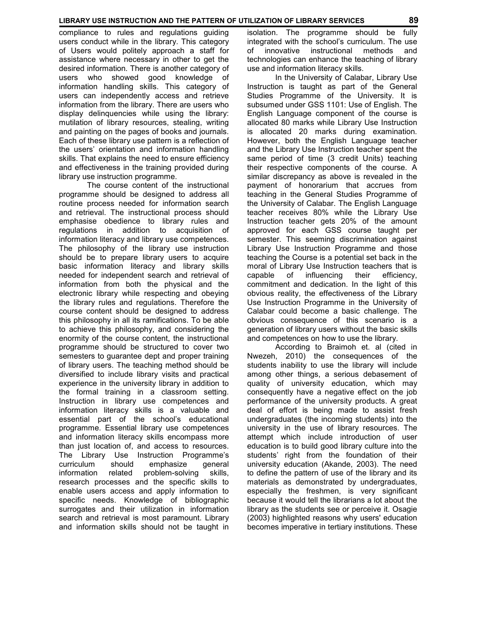compliance to rules and regulations guiding users conduct while in the library. This category of Users would politely approach a staff for assistance where necessary in other to get the desired information. There is another category of users who showed good knowledge of information handling skills. This category of users can independently access and retrieve information from the library. There are users who display delinquencies while using the library: mutilation of library resources, stealing, writing and painting on the pages of books and journals. Each of these library use pattern is a reflection of the users' orientation and information handling skills. That explains the need to ensure efficiency and effectiveness in the training provided during library use instruction programme.

 The course content of the instructional programme should be designed to address all routine process needed for information search and retrieval. The instructional process should emphasise obedience to library rules and regulations in addition to acquisition of information literacy and library use competences. The philosophy of the library use instruction should be to prepare library users to acquire basic information literacy and library skills needed for independent search and retrieval of information from both the physical and the electronic library while respecting and obeying the library rules and regulations. Therefore the course content should be designed to address this philosophy in all its ramifications. To be able to achieve this philosophy, and considering the enormity of the course content, the instructional programme should be structured to cover two semesters to guarantee dept and proper training of library users. The teaching method should be diversified to include library visits and practical experience in the university library in addition to the formal training in a classroom setting. Instruction in library use competences and information literacy skills is a valuable and essential part of the school's educational programme. Essential library use competences and information literacy skills encompass more than just location of, and access to resources. The Library Use Instruction Programme's curriculum should emphasize general information related problem-solving skills, research processes and the specific skills to enable users access and apply information to specific needs. Knowledge of bibliographic surrogates and their utilization in information search and retrieval is most paramount. Library and information skills should not be taught in isolation. The programme should be fully integrated with the school's curriculum. The use of innovative instructional methods and technologies can enhance the teaching of library use and information literacy skills.

 In the University of Calabar, Library Use Instruction is taught as part of the General Studies Programme of the University. It is subsumed under GSS 1101: Use of English. The English Language component of the course is allocated 80 marks while Library Use Instruction is allocated 20 marks during examination. However, both the English Language teacher and the Library Use Instruction teacher spent the same period of time (3 credit Units) teaching their respective components of the course. A similar discrepancy as above is revealed in the payment of honorarium that accrues from teaching in the General Studies Programme of the University of Calabar. The English Language teacher receives 80% while the Library Use Instruction teacher gets 20% of the amount approved for each GSS course taught per semester. This seeming discrimination against Library Use Instruction Programme and those teaching the Course is a potential set back in the moral of Library Use Instruction teachers that is capable of influencing their efficiency, commitment and dedication. In the light of this obvious reality, the effectiveness of the Library Use Instruction Programme in the University of Calabar could become a basic challenge. The obvious consequence of this scenario is a generation of library users without the basic skills and competences on how to use the library.

 According to Braimoh et. al (cited in Nwezeh, 2010) the consequences of the students inability to use the library will include among other things, a serious debasement of quality of university education, which may consequently have a negative effect on the job performance of the university products. A great deal of effort is being made to assist fresh undergraduates (the incoming students) into the university in the use of library resources. The attempt which include introduction of user education is to build good library culture into the students' right from the foundation of their university education (Akande, 2003). The need to define the pattern of use of the library and its materials as demonstrated by undergraduates, especially the freshmen, is very significant because it would tell the librarians a lot about the library as the students see or perceive it. Osagie (2003) highlighted reasons why users' education becomes imperative in tertiary institutions. These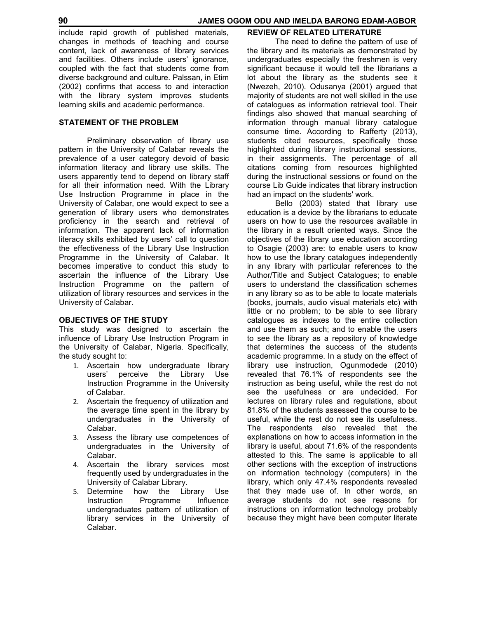include rapid growth of published materials, changes in methods of teaching and course content, lack of awareness of library services and facilities. Others include users' ignorance, coupled with the fact that students come from diverse background and culture. Palssan, in Etim (2002) confirms that access to and interaction with the library system improves students learning skills and academic performance.

# **STATEMENT OF THE PROBLEM**

 Preliminary observation of library use pattern in the University of Calabar reveals the prevalence of a user category devoid of basic information literacy and library use skills. The users apparently tend to depend on library staff for all their information need. With the Library Use Instruction Programme in place in the University of Calabar, one would expect to see a generation of library users who demonstrates proficiency in the search and retrieval of information. The apparent lack of information literacy skills exhibited by users' call to question the effectiveness of the Library Use Instruction Programme in the University of Calabar. It becomes imperative to conduct this study to ascertain the influence of the Library Use Instruction Programme on the pattern of utilization of library resources and services in the University of Calabar.

# **OBJECTIVES OF THE STUDY**

This study was designed to ascertain the influence of Library Use Instruction Program in the University of Calabar, Nigeria. Specifically, the study sought to:

- 1. Ascertain how undergraduate library users' perceive the Library Use Instruction Programme in the University of Calabar.
- 2. Ascertain the frequency of utilization and the average time spent in the library by undergraduates in the University of Calabar.
- 3. Assess the library use competences of undergraduates in the University of Calabar.
- 4. Ascertain the library services most frequently used by undergraduates in the University of Calabar Library.
- 5. Determine how the Library Use Instruction Programme Influence undergraduates pattern of utilization of library services in the University of Calabar.

## **REVIEW OF RELATED LITERATURE**

 The need to define the pattern of use of the library and its materials as demonstrated by undergraduates especially the freshmen is very significant because it would tell the librarians a lot about the library as the students see it (Nwezeh, 2010). Odusanya (2001) argued that majority of students are not well skilled in the use of catalogues as information retrieval tool. Their findings also showed that manual searching of information through manual library catalogue consume time. According to Rafferty (2013), students cited resources, specifically those highlighted during library instructional sessions, in their assignments. The percentage of all citations coming from resources highlighted during the instructional sessions or found on the course Lib Guide indicates that library instruction had an impact on the students' work.

 Bello (2003) stated that library use education is a device by the librarians to educate users on how to use the resources available in the library in a result oriented ways. Since the objectives of the library use education according to Osagie (2003) are: to enable users to know how to use the library catalogues independently in any library with particular references to the Author/Title and Subject Catalogues; to enable users to understand the classification schemes in any library so as to be able to locate materials (books, journals, audio visual materials etc) with little or no problem; to be able to see library catalogues as indexes to the entire collection and use them as such; and to enable the users to see the library as a repository of knowledge that determines the success of the students academic programme. In a study on the effect of library use instruction, Ogunmodede (2010) revealed that 76.1% of respondents see the instruction as being useful, while the rest do not see the usefulness or are undecided. For lectures on library rules and regulations, about 81.8% of the students assessed the course to be useful, while the rest do not see its usefulness. The respondents also revealed that the explanations on how to access information in the library is useful, about 71.6% of the respondents attested to this. The same is applicable to all other sections with the exception of instructions on information technology (computers) in the library, which only 47.4% respondents revealed that they made use of. In other words, an average students do not see reasons for instructions on information technology probably because they might have been computer literate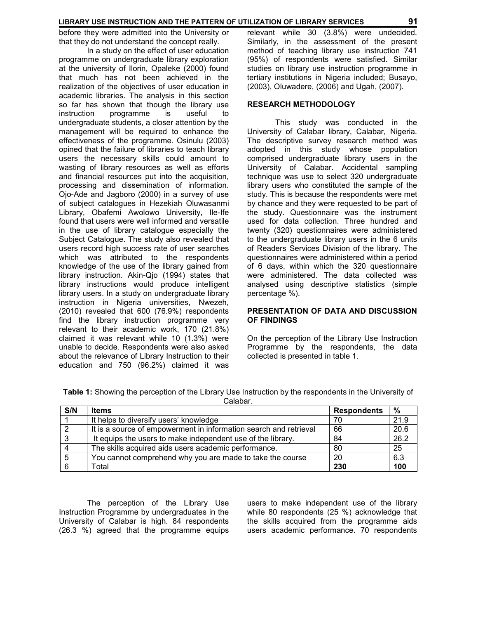#### **LIBRARY USE INSTRUCTION AND THE PATTERN OF UTILIZATION OF LIBRARY SERVICES 91**

before they were admitted into the University or that they do not understand the concept really.

 In a study on the effect of user education programme on undergraduate library exploration at the university of Ilorin, Opaleke (2000) found that much has not been achieved in the realization of the objectives of user education in academic libraries. The analysis in this section so far has shown that though the library use instruction programme is useful to undergraduate students, a closer attention by the management will be required to enhance the effectiveness of the programme. Osinulu (2003) opined that the failure of libraries to teach library users the necessary skills could amount to wasting of library resources as well as efforts and financial resources put into the acquisition, processing and dissemination of information. Ojo-Ade and Jagboro (2000) in a survey of use of subject catalogues in Hezekiah Oluwasanmi Library, Obafemi Awolowo University, Ile-Ife found that users were well informed and versatile in the use of library catalogue especially the Subject Catalogue. The study also revealed that users record high success rate of user searches which was attributed to the respondents knowledge of the use of the library gained from library instruction. Akin-Qjo (1994) states that library instructions would produce intelligent library users. In a study on undergraduate library instruction in Nigeria universities, Nwezeh, (2010) revealed that 600 (76.9%) respondents find the library instruction programme very relevant to their academic work, 170 (21.8%) claimed it was relevant while 10 (1.3%) were unable to decide. Respondents were also asked about the relevance of Library Instruction to their education and 750 (96.2%) claimed it was

relevant while 30 (3.8%) were undecided. Similarly, in the assessment of the present method of teaching library use instruction 741 (95%) of respondents were satisfied. Similar studies on library use instruction programme in tertiary institutions in Nigeria included; Busayo, (2003), Oluwadere, (2006) and Ugah, (2007).

#### **RESEARCH METHODOLOGY**

 This study was conducted in the University of Calabar library, Calabar, Nigeria. The descriptive survey research method was adopted in this study whose population comprised undergraduate library users in the University of Calabar. Accidental sampling technique was use to select 320 undergraduate library users who constituted the sample of the study. This is because the respondents were met by chance and they were requested to be part of the study. Questionnaire was the instrument used for data collection. Three hundred and twenty (320) questionnaires were administered to the undergraduate library users in the 6 units of Readers Services Division of the library. The questionnaires were administered within a period of 6 days, within which the 320 questionnaire were administered. The data collected was analysed using descriptive statistics (simple percentage %).

#### **PRESENTATION OF DATA AND DISCUSSION OF FINDINGS**

On the perception of the Library Use Instruction Programme by the respondents, the data collected is presented in table 1.

| S/N | <b>Items</b>                                                      | <b>Respondents</b> | $\frac{0}{0}$ |
|-----|-------------------------------------------------------------------|--------------------|---------------|
|     | It helps to diversify users' knowledge                            | 70                 | 21.9          |
|     | It is a source of empowerment in information search and retrieval | 66                 | 20.6          |
| د   | It equips the users to make independent use of the library.       | 84                 | 26.2          |
|     | The skills acquired aids users academic performance.              | 80                 | 25            |
|     | You cannot comprehend why you are made to take the course         | 20                 | 6.3           |
|     | Total                                                             | 230                | 100           |

**Table 1:** Showing the perception of the Library Use Instruction by the respondents in the University of Calabar.

 The perception of the Library Use Instruction Programme by undergraduates in the University of Calabar is high. 84 respondents (26.3 %) agreed that the programme equips users to make independent use of the library while 80 respondents (25 %) acknowledge that the skills acquired from the programme aids users academic performance. 70 respondents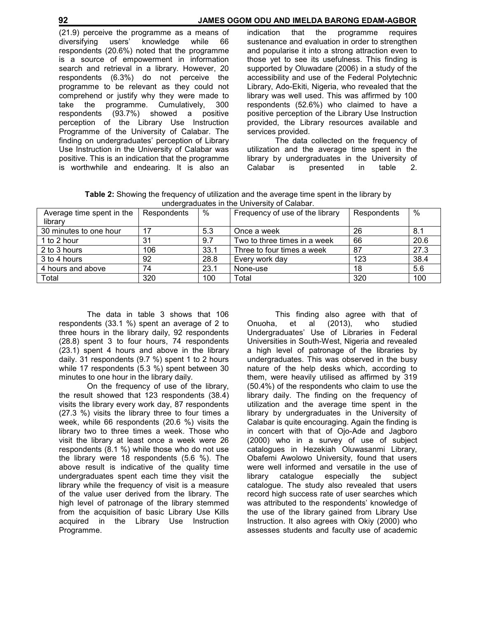#### **92 JAMES OGOM ODU AND IMELDA BARONG EDAM-AGBOR**

(21.9) perceive the programme as a means of diversifying users' knowledge while 66 respondents (20.6%) noted that the programme is a source of empowerment in information search and retrieval in a library. However, 20 respondents (6.3%) do not perceive the programme to be relevant as they could not comprehend or justify why they were made to take the programme. Cumulatively, 300 respondents (93.7%) showed a positive perception of the Library Use Instruction Programme of the University of Calabar. The finding on undergraduates' perception of Library Use Instruction in the University of Calabar was positive. This is an indication that the programme is worthwhile and endearing. It is also an

indication that the programme requires sustenance and evaluation in order to strengthen and popularise it into a strong attraction even to those yet to see its usefulness. This finding is supported by Oluwadare (2006) in a study of the accessibility and use of the Federal Polytechnic Library, Ado-Ekiti, Nigeria, who revealed that the library was well used. This was affirmed by 100 respondents (52.6%) who claimed to have a positive perception of the Library Use Instruction provided, the Library resources available and services provided.

 The data collected on the frequency of utilization and the average time spent in the library by undergraduates in the University of Calabar is presented in

**Table 2:** Showing the frequency of utilization and the average time spent in the library by undergraduates in the University of Calabar.

| Average time spent in the | Respondents | %    | Frequency of use of the library | Respondents | $\%$ |
|---------------------------|-------------|------|---------------------------------|-------------|------|
| library                   |             |      |                                 |             |      |
| 30 minutes to one hour    | 17          | 5.3  | Once a week                     | 26          | 8.1  |
| 1 to 2 hour               | 31          | 9.7  | Two to three times in a week    | 66          | 20.6 |
| 2 to 3 hours              | 106         | 33.1 | Three to four times a week      | 87          | 27.3 |
| 3 to 4 hours              | 92          | 28.8 | Every work day                  | 123         | 38.4 |
| 4 hours and above         | 74          | 23.1 | None-use                        | 18          | 5.6  |
| Total                     | 320         | 100  | Total                           | 320         | 100  |

 The data in table 3 shows that 106 respondents (33.1 %) spent an average of 2 to three hours in the library daily, 92 respondents (28.8) spent 3 to four hours, 74 respondents (23.1) spent 4 hours and above in the library daily. 31 respondents (9.7 %) spent 1 to 2 hours while 17 respondents (5.3 %) spent between 30 minutes to one hour in the library daily.

 On the frequency of use of the library, the result showed that 123 respondents (38.4) visits the library every work day, 87 respondents (27.3 %) visits the library three to four times a week, while 66 respondents (20.6 %) visits the library two to three times a week. Those who visit the library at least once a week were 26 respondents (8.1 %) while those who do not use the library were 18 respondents (5.6 %). The above result is indicative of the quality time undergraduates spent each time they visit the library while the frequency of visit is a measure of the value user derived from the library. The high level of patronage of the library stemmed from the acquisition of basic Library Use Kills acquired in the Library Use Instruction Programme.

 This finding also agree with that of Onuoha, et al (2013), who studied Undergraduates' Use of Libraries in Federal Universities in South-West, Nigeria and revealed a high level of patronage of the libraries by undergraduates. This was observed in the busy nature of the help desks which, according to them, were heavily utilised as affirmed by 319 (50.4%) of the respondents who claim to use the library daily. The finding on the frequency of utilization and the average time spent in the library by undergraduates in the University of Calabar is quite encouraging. Again the finding is in concert with that of Ojo-Ade and Jagboro (2000) who in a survey of use of subject catalogues in Hezekiah Oluwasanmi Library, Obafemi Awolowo University, found that users were well informed and versatile in the use of library catalogue especially the subject catalogue. The study also revealed that users record high success rate of user searches which was attributed to the respondents' knowledge of the use of the library gained from Library Use Instruction. It also agrees with Okiy (2000) who assesses students and faculty use of academic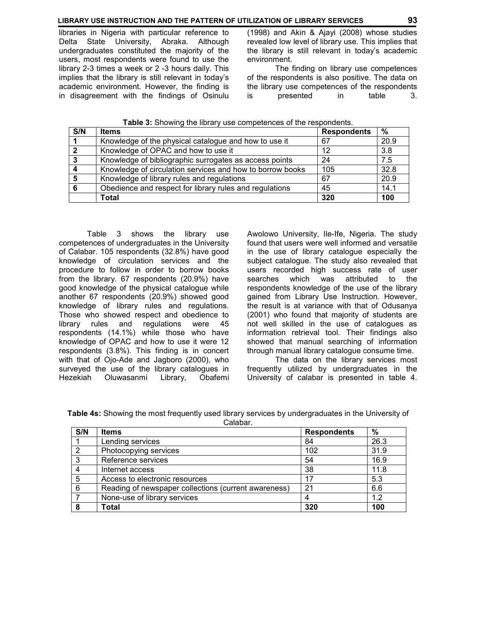libraries in Nigeria with particular reference to Delta State University, Abraka. Although undergraduates constituted the majority of the users, most respondents were found to use the library 2-3 times a week or 2 -3 hours daily. This implies that the library is still relevant in today's academic environment. However, the finding is in disagreement with the findings of Osinulu

(1998) and Akin & Ajayi (2008) whose studies revealed low level of library use. This implies that the library is still relevant in today's academic environment.

 The finding on library use competences of the respondents is also positive. The data on the library use competences of the respondents is presented in table 3.

| S/N | <b>Items</b>                                              | <b>Respondents</b> | %    |
|-----|-----------------------------------------------------------|--------------------|------|
|     | Knowledge of the physical catalogue and how to use it     | 67                 | 20.9 |
|     | Knowledge of OPAC and how to use it                       | 12                 | 3.8  |
| 3   | Knowledge of bibliographic surrogates as access points    | 24                 | 7.5  |
|     | Knowledge of circulation services and how to borrow books | 105                | 32.8 |
| 5   | Knowledge of library rules and regulations                | 67                 | 20.9 |
| 6   | Obedience and respect for library rules and regulations   | 45                 | 14.1 |
|     | Total                                                     | 320                | 100  |

**Table 3:** Showing the library use competences of the respondents.

 Table 3 shows the library use competences of undergraduates in the University of Calabar. 105 respondents (32.8%) have good knowledge of circulation services and the procedure to follow in order to borrow books from the library. 67 respondents (20.9%) have good knowledge of the physical catalogue while another 67 respondents (20.9%) showed good knowledge of library rules and regulations. Those who showed respect and obedience to library rules and regulations were 45 respondents (14.1%) while those who have knowledge of OPAC and how to use it were 12 respondents (3.8%). This finding is in concert with that of Ojo-Ade and Jagboro (2000), who surveyed the use of the library catalogues in Hezekiah Oluwasanmi Library, Obafemi Awolowo University, Ile-Ife, Nigeria. The study found that users were well informed and versatile in the use of library catalogue especially the subject catalogue. The study also revealed that users recorded high success rate of user searches which was attributed to the respondents knowledge of the use of the library gained from Library Use Instruction. However, the result is at variance with that of Odusanya (2001) who found that majority of students are not well skilled in the use of catalogues as information retrieval tool. Their findings also showed that manual searching of information through manual library catalogue consume time.

 The data on the library services most frequently utilized by undergraduates in the University of calabar is presented in table 4.

|  | Table 4s: Showing the most frequently used library services by undergraduates in the University of |         |  |  |  |  |
|--|----------------------------------------------------------------------------------------------------|---------|--|--|--|--|
|  |                                                                                                    | Calahar |  |  |  |  |

| vuiuvui . |                                                      |                    |               |  |  |  |  |
|-----------|------------------------------------------------------|--------------------|---------------|--|--|--|--|
| S/N       | <b>Items</b>                                         | <b>Respondents</b> | $\frac{9}{6}$ |  |  |  |  |
|           | Lending services                                     | 84                 | 26.3          |  |  |  |  |
| 2         | Photocopying services                                | 102                | 31.9          |  |  |  |  |
| 3         | Reference services                                   | 54                 | 16.9          |  |  |  |  |
| 4         | Internet access                                      | 38                 | 11.8          |  |  |  |  |
| -5        | Access to electronic resources                       | 17                 | 5.3           |  |  |  |  |
| 6         | Reading of newspaper collections (current awareness) | 21                 | 6.6           |  |  |  |  |
|           | None-use of library services                         | 4                  | 1.2           |  |  |  |  |
| 8         | <b>Total</b>                                         | 320                | 100           |  |  |  |  |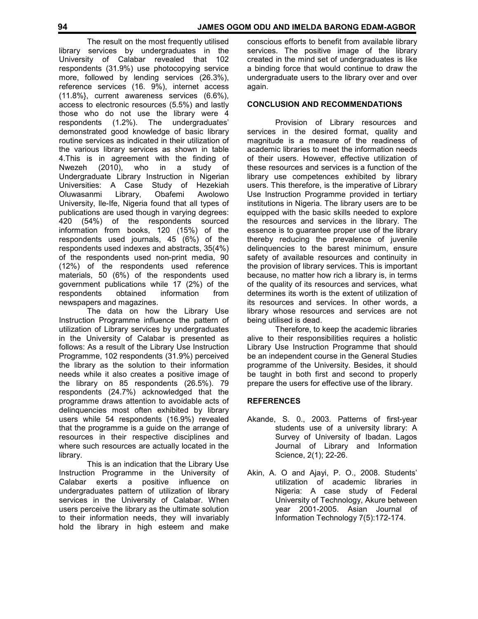The result on the most frequently utilised library services by undergraduates in the University of Calabar revealed that 102 respondents (31.9%) use photocopying service more, followed by lending services (26.3%), reference services (16. 9%), internet access (11.8%}, current awareness services (6.6%), access to electronic resources (5.5%) and lastly those who do not use the library were 4 respondents (1.2%). The undergraduates' demonstrated good knowledge of basic library routine services as indicated in their utilization of the various library services as shown in table 4. This is in agreement with the finding of Nwezeh (2010), who in a study of Nwezeh (2010), who in a study of Undergraduate Library Instruction in Nigerian Universities: A Case Study of Hezekiah Oluwasanmi Library, Obafemi Awolowo University, lle-Ife, Nigeria found that all types of publications are used though in varying degrees: 420 (54%) of the respondents sourced information from books, 120 (15%) of the respondents used journals, 45 (6%) of the respondents used indexes and abstracts, 35(4%) of the respondents used non-print media, 90 (12%) of the respondents used reference materials, 50 (6%) of the respondents used government publications while 17 (2%) of the respondents obtained information from newspapers and magazines.

 The data on how the Library Use Instruction Programme influence the pattern of utilization of Library services by undergraduates in the University of Calabar is presented as follows: As a result of the Library Use Instruction Programme, 102 respondents (31.9%) perceived the library as the solution to their information needs while it also creates a positive image of the library on 85 respondents (26.5%). 79 respondents (24.7%) acknowledged that the programme draws attention to avoidable acts of delinquencies most often exhibited by library users while 54 respondents (16.9%) revealed that the programme is a guide on the arrange of resources in their respective disciplines and where such resources are actually located in the library.

 This is an indication that the Library Use Instruction Programme in the University of Calabar exerts a positive influence on undergraduates pattern of utilization of library services in the University of Calabar. When users perceive the library as the ultimate solution to their information needs, they will invariably hold the library in high esteem and make

conscious efforts to benefit from available library services. The positive image of the library created in the mind set of undergraduates is like a binding force that would continue to draw the undergraduate users to the library over and over again.

### **CONCLUSION AND RECOMMENDATIONS**

 Provision of Library resources and services in the desired format, quality and magnitude is a measure of the readiness of academic libraries to meet the information needs of their users. However, effective utilization of these resources and services is a function of the library use competences exhibited by library users. This therefore, is the imperative of Library Use Instruction Programme provided in tertiary institutions in Nigeria. The library users are to be equipped with the basic skills needed to explore the resources and services in the library. The essence is to guarantee proper use of the library thereby reducing the prevalence of juvenile delinquencies to the barest minimum, ensure safety of available resources and continuity in the provision of library services. This is important because, no matter how rich a library is, in terms of the quality of its resources and services, what determines its worth is the extent of utilization of its resources and services. In other words, a library whose resources and services are not being utilised is dead.

 Therefore, to keep the academic libraries alive to their responsibilities requires a holistic Library Use Instruction Programme that should be an independent course in the General Studies programme of the University. Besides, it should be taught in both first and second to properly prepare the users for effective use of the library.

## **REFERENCES**

- Akande, S. 0., 2003. Patterns of first-year students use of a university library: A Survey of University of Ibadan. Lagos Journal of Library and Information Science, 2(1); 22-26.
- Akin, A. O and Ajayi, P. O., 2008. Students' utilization of academic libraries in Nigeria: A case study of Federal University of Technology, Akure between year 2001-2005. Asian Journal of Information Technology 7(5):172-174.